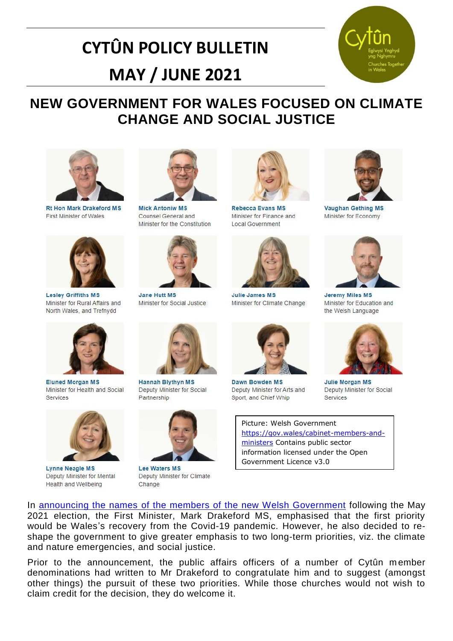# **CYTÛN POLICY BULLETIN MAY / JUNE 2021**



# **NEW GOVERNMENT FOR WALES FOCUSED ON CLIMATE CHANGE AND SOCIAL JUSTICE**



**Rt Hon Mark Drakeford MS First Minister of Wales** 



**Lesley Griffiths MS** Minister for Rural Affairs and North Wales, and Trefnydd



**Eluned Morgan MS** Minister for Health and Social Services



**Lynne Neagle MS** Deputy Minister for Mental Health and Wellbeing



**Mick Antoniw MS** Counsel General and Minister for the Constitution



**Jane Hutt MS** Minister for Social Justice



**Hannah Blythyn MS** Deputy Minister for Social Partnership



**Lee Waters MS** Deputy Minister for Climate Change



**Rebecca Evans MS** Minister for Finance and Local Government



**Julie James MS** Minister for Climate Change



Dawn Bowden MS Deputy Minister for Arts and Sport, and Chief Whip



**Vaughan Gething MS** Minister for Economy



**Jeremy Miles MS** Minister for Education and the Welsh Language



**Julie Morgan MS** Deputy Minister for Social Services

Picture: Welsh Government [https://gov.wales/cabinet-members-and](https://gov.wales/cabinet-members-and-ministers)[ministers](https://gov.wales/cabinet-members-and-ministers) Contains public sector information licensed under the Open Government Licence v3.0

In [announcing the names of the members of the new Welsh Government](https://gov.wales/written-statement-cabinet-appointments-new-welsh-government) following the May 2021 election, the First Minister, Mark Drakeford MS, emphasised that the first priority would be Wales's recovery from the Covid-19 pandemic. However, he also decided to reshape the government to give greater emphasis to two long-term priorities, viz. the climate and nature emergencies, and social justice.

Prior to the announcement, the public affairs officers of a number of Cytûn member denominations had written to Mr Drakeford to congratulate him and to suggest (amongst other things) the pursuit of these two priorities. While those churches would not wish to claim credit for the decision, they do welcome it.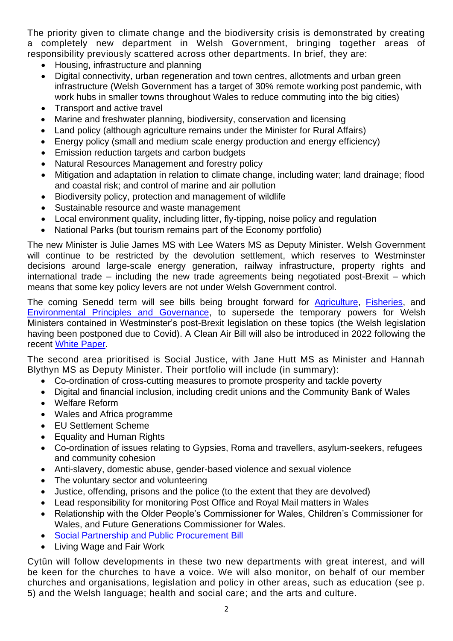The priority given to climate change and the biodiversity crisis is demonstrated by creating a completely new department in Welsh Government, bringing together areas of responsibility previously scattered across other departments. In brief, they are:

- Housing, infrastructure and planning
- Digital connectivity, urban regeneration and town centres, allotments and urban green infrastructure (Welsh Government has a target of 30% remote working post pandemic, with work hubs in smaller towns throughout Wales to reduce commuting into the big cities)
- Transport and active travel
- Marine and freshwater planning, biodiversity, conservation and licensing
- Land policy (although agriculture remains under the Minister for Rural Affairs)
- Energy policy (small and medium scale energy production and energy efficiency)
- Emission reduction targets and carbon budgets
- Natural Resources Management and forestry policy
- Mitigation and adaptation in relation to climate change, including water; land drainage; flood and coastal risk; and control of marine and air pollution
- Biodiversity policy, protection and management of wildlife
- Sustainable resource and waste management
- Local environment quality, including litter, fly-tipping, noise policy and regulation
- National Parks (but tourism remains part of the Economy portfolio)

The new Minister is Julie James MS with Lee Waters MS as Deputy Minister. Welsh Government will continue to be restricted by the devolution settlement, which reserves to Westminster decisions around large-scale energy generation, railway infrastructure, property rights and international trade – including the new trade agreements being negotiated post-Brexit – which means that some key policy levers are not under Welsh Government control.

The coming Senedd term will see bills being brought forward for [Agriculture,](https://gov.wales/agriculture-wales-bill) [Fisheries,](https://gov.wales/marine-and-fisheries-policies-wales-after-brexit) and [Environmental Principles and Governance,](https://gov.wales/environmental-principles-and-governance-wales-post-european-union-exit) to supersede the temporary powers for Welsh Ministers contained in Westminster's post-Brexit legislation on these topics (the Welsh legislation having been postponed due to Covid). A Clean Air Bill will also be introduced in 2022 following the recent [White Paper.](https://gov.wales/white-paper-clean-air-wales-bill)

The second area prioritised is Social Justice, with Jane Hutt MS as Minister and Hannah Blythyn MS as Deputy Minister. Their portfolio will include (in summary):

- Co-ordination of cross-cutting measures to promote prosperity and tackle poverty
- Digital and financial inclusion, including credit unions and the Community Bank of Wales
- Welfare Reform
- Wales and Africa programme
- EU Settlement Scheme
- Equality and Human Rights
- Co-ordination of issues relating to Gypsies, Roma and travellers, asylum-seekers, refugees and community cohesion
- Anti-slavery, domestic abuse, gender-based violence and sexual violence
- The voluntary sector and volunteering
- Justice, offending, prisons and the police (to the extent that they are devolved)
- Lead responsibility for monitoring Post Office and Royal Mail matters in Wales
- Relationship with the Older People's Commissioner for Wales, Children's Commissioner for Wales, and Future Generations Commissioner for Wales.
- [Social Partnership and Public Procurement Bill](https://gov.wales/draft-social-partnership-and-public-procurement-wales-bill)
- Living Wage and Fair Work

Cytûn will follow developments in these two new departments with great interest, and will be keen for the churches to have a voice. We will also monitor, on behalf of our member churches and organisations, legislation and policy in other areas, such as education (see p. 5) and the Welsh language; health and social care; and the arts and culture.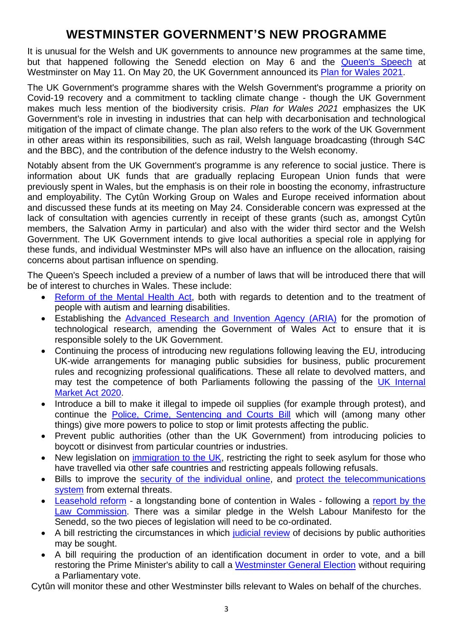### **WESTMINSTER GOVERNMENT'S NEW PROGRAMME**

It is unusual for the Welsh and UK governments to announce new programmes at the same time, but that happened following the Senedd election on May 6 and the [Queen's Speech](https://www.gov.uk/government/publications/queens-speech-2021-background-briefing-notes) at Westminster on May 11, On May 20, the UK Government announced its [Plan for Wales 2021.](https://www.gov.uk/government/news/uk-governments-plan-for-wales-2021)

The UK Government's programme shares with the Welsh Government's programme a priority on Covid-19 recovery and a commitment to tackling climate change - though the UK Government makes much less mention of the biodiversity crisis. *Plan for Wales 2021* emphasizes the UK Government's role in investing in industries that can help with decarbonisation and technological mitigation of the impact of climate change. The plan also refers to the work of the UK Government in other areas within its responsibilities, such as rail, Welsh language broadcasting (through S4C and the BBC), and the contribution of the defence industry to the Welsh economy.

Notably absent from the UK Government's programme is any reference to social justice. There is information about UK funds that are gradually replacing European Union funds that were previously spent in Wales, but the emphasis is on their role in boosting the economy, infrastructure and employability. The Cytûn Working Group on Wales and Europe received information about and discussed these funds at its meeting on May 24. Considerable concern was expressed at the lack of consultation with agencies currently in receipt of these grants (such as, amongst Cytûn members, the Salvation Army in particular) and also with the wider third sector and the Welsh Government. The UK Government intends to give local authorities a special role in applying for these funds, and individual Westminster MPs will also have an influence on the allocation, raising concerns about partisan influence on spending.

The Queen's Speech included a preview of a number of laws that will be introduced there that will be of interest to churches in Wales. These include:

- [Reform of the Mental Health Act,](https://www.gov.uk/government/consultations/reforming-the-mental-health-act/reforming-the-mental-health-act) both with regards to detention and to the treatment of people with autism and learning disabilities.
- Establishing the **Advanced Research and Invention Agency (ARIA)** for the promotion of technological research, amending the Government of Wales Act to ensure that it is responsible solely to the UK Government.
- Continuing the process of introducing new regulations following leaving the EU, introducing UK-wide arrangements for managing public subsidies for business, public procurement rules and recognizing professional qualifications. These all relate to devolved matters, and may test the competence of both Parliaments following the passing of the [UK Internal](https://research.senedd.wales/research-articles/internal-market-bill-becomes-law-how-has-the-act-changed/)  [Market Act 2020.](https://research.senedd.wales/research-articles/internal-market-bill-becomes-law-how-has-the-act-changed/)
- Introduce a bill to make it illegal to impede oil supplies (for example through protest), and continue the [Police, Crime, Sentencing and Courts Bill](https://bills.parliament.uk/bills/2839) which will (among many other things) give more powers to police to stop or limit protests affecting the public.
- Prevent public authorities (other than the UK Government) from introducing policies to boycott or disinvest from particular countries or industries.
- New legislation on [immigration to the UK,](https://www.gov.uk/government/consultations/new-plan-for-immigration) restricting the right to seek asylum for those who have travelled via other safe countries and restricting appeals following refusals.
- Bills to improve the [security of the individual online,](https://www.gov.uk/government/publications/draft-online-safety-bill) and protect the telecommunications [system](https://bills.parliament.uk/bills/2806) from external threats.
- [Leasehold reform](https://bills.parliament.uk/bills/2864) a longstanding bone of contention in Wales following a report by the [Law Commission.](https://www.lawcom.gov.uk/project/leasehold-enfranchisement/) There was a similar pledge in the Welsh Labour Manifesto for the Senedd, so the two pieces of legislation will need to be co-ordinated.
- A bill restricting the circumstances in which [judicial review](https://consult.justice.gov.uk/judicial-review-reform/judicial-review-proposals-for-reform/) of decisions by public authorities may be sought.
- A bill requiring the production of an identification document in order to vote, and a bill restoring the Prime Minister's ability to call a [Westminster General Election](https://bills.parliament.uk/bills/2859) without requiring a Parliamentary vote.

Cytûn will monitor these and other Westminster bills relevant to Wales on behalf of the churches.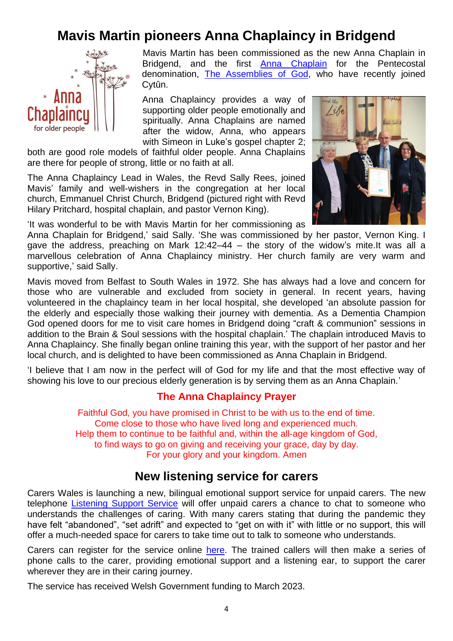# **Mavis Martin pioneers Anna Chaplaincy in Bridgend**



Mavis Martin has been commissioned as the new Anna Chaplain in Bridgend, and the first [Anna Chaplain](https://www.annachaplaincy.org.uk/) for the Pentecostal denomination, [The Assemblies of God,](https://www.aog.org.uk/) who have recently joined Cytûn.

Anna Chaplaincy provides a way of supporting older people emotionally and spiritually. Anna Chaplains are named after the widow, Anna, who appears with Simeon in Luke's gospel chapter 2;

both are good role models of faithful older people. Anna Chaplains are there for people of strong, little or no faith at all.

The Anna Chaplaincy Lead in Wales, the Revd Sally Rees, joined Mavis' family and well-wishers in the congregation at her local church, Emmanuel Christ Church, Bridgend (pictured right with Revd Hilary Pritchard, hospital chaplain, and pastor Vernon King).



'It was wonderful to be with Mavis Martin for her commissioning as

Anna Chaplain for Bridgend,' said Sally. 'She was commissioned by her pastor, Vernon King. I gave the address, preaching on Mark 12:42–44 – the story of the widow's mite.It was all a marvellous celebration of Anna Chaplaincy ministry. Her church family are very warm and supportive,' said Sally.

Mavis moved from Belfast to South Wales in 1972. She has always had a love and concern for those who are vulnerable and excluded from society in general. In recent years, having volunteered in the chaplaincy team in her local hospital, she developed 'an absolute passion for the elderly and especially those walking their journey with dementia. As a Dementia Champion God opened doors for me to visit care homes in Bridgend doing "craft & communion" sessions in addition to the Brain & Soul sessions with the hospital chaplain.' The chaplain introduced Mavis to Anna Chaplaincy. She finally began online training this year, with the support of her pastor and her local church, and is delighted to have been commissioned as Anna Chaplain in Bridgend.

'I believe that I am now in the perfect will of God for my life and that the most effective way of showing his love to our precious elderly generation is by serving them as an Anna Chaplain.'

#### **The Anna Chaplaincy Prayer**

Faithful God, you have promised in Christ to be with us to the end of time. Come close to those who have lived long and experienced much. Help them to continue to be faithful and, within the all-age kingdom of God, to find ways to go on giving and receiving your grace, day by day. For your glory and your kingdom. Amen

#### **New listening service for carers**

Carers Wales is launching a new, bilingual emotional support service for unpaid carers. The new telephone [Listening Support Service](https://www.carersuk.org/wales/help-and-advice/listening-support-service) will offer unpaid carers a chance to chat to someone who understands the challenges of caring. With many carers stating that during the pandemic they have felt "abandoned", "set adrift" and expected to "get on with it" with little or no support, this will offer a much-needed space for carers to take time out to talk to someone who understands.

Carers can register for the service online [here.](https://www.carersuk.org/wales/help-and-advice/listening-support-service) The trained callers will then make a series of phone calls to the carer, providing emotional support and a listening ear, to support the carer wherever they are in their caring journey.

The service has received Welsh Government funding to March 2023.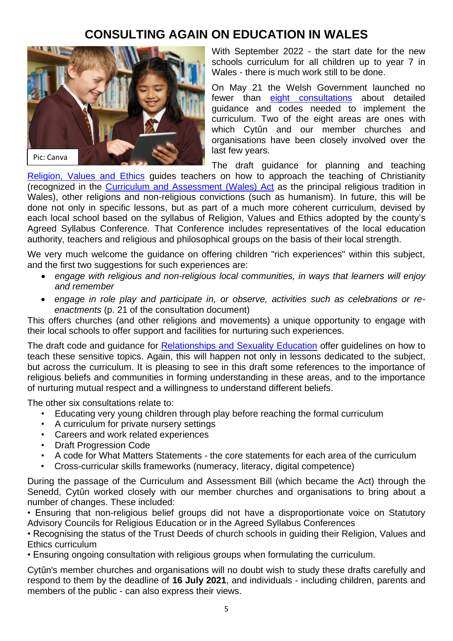### **CONSULTING AGAIN ON EDUCATION IN WALES**



With September 2022 - the start date for the new schools curriculum for all children up to year 7 in Wales - there is much work still to be done.

On May 21 the Welsh Government launched no fewer than [eight consultations](https://hwb.gov.wales/curriculum-for-wales/consultations-on-additional-curriculum-for-wales-guidance) about detailed guidance and codes needed to implement the curriculum. Two of the eight areas are ones with which Cytûn and our member churches and organisations have been closely involved over the last few years.

The draft guidance for planning and teaching

[Religion, Values and Ethics](https://gov.wales/guidance-design-and-delivery-mandatory-religion-values-and-ethics-rve) guides teachers on how to approach the teaching of Christianity (recognized in the [Curriculum and Assessment \(Wales\) Act](https://business.senedd.wales/mgIssueHistoryHome.aspx?IId=28836) as the principal religious tradition in Wales), other religions and non-religious convictions (such as humanism). In future, this will be done not only in specific lessons, but as part of a much more coherent curriculum, devised by each local school based on the syllabus of Religion, Values and Ethics adopted by the county's Agreed Syllabus Conference. That Conference includes representatives of the local education authority, teachers and religious and philosophical groups on the basis of their local strength.

We very much welcome the quidance on offering children "rich experiences" within this subject, and the first two suggestions for such experiences are:

- *engage with religious and non-religious local communities, in ways that learners will enjoy and remember*
- *engage in role play and participate in, or observe, activities such as celebrations or reenactments* (p. 21 of the consultation document)

This offers churches (and other religions and movements) a unique opportunity to engage with their local schools to offer support and facilities for nurturing such experiences.

The draft code and guidance for [Relationships and Sexuality Education](https://gov.wales/curriculum-wales-guidance-and-code-relationships-and-sexuality-education-rse) offer guidelines on how to teach these sensitive topics. Again, this will happen not only in lessons dedicated to the subject, but across the curriculum. It is pleasing to see in this draft some references to the importance of religious beliefs and communities in forming understanding in these areas, and to the importance of nurturing mutual respect and a willingness to understand different beliefs.

The other six consultations relate to:

- Educating very young children through play before reaching the formal curriculum
- A curriculum for private nursery settings
- Careers and work related experiences
- Draft Progression Code
- A code for What Matters Statements the core statements for each area of the curriculum
- Cross-curricular skills frameworks (numeracy, literacy, digital competence)

During the passage of the Curriculum and Assessment Bill (which became the Act) through the Senedd, Cytûn worked closely with our member churches and organisations to bring about a number of changes. These included:

• Ensuring that non-religious belief groups did not have a disproportionate voice on Statutory Advisory Councils for Religious Education or in the Agreed Syllabus Conferences

• Recognising the status of the Trust Deeds of church schools in guiding their Religion, Values and Ethics curriculum

• Ensuring ongoing consultation with religious groups when formulating the curriculum.

Cytûn's member churches and organisations will no doubt wish to study these drafts carefully and respond to them by the deadline of **16 July 2021**, and individuals - including children, parents and members of the public - can also express their views.